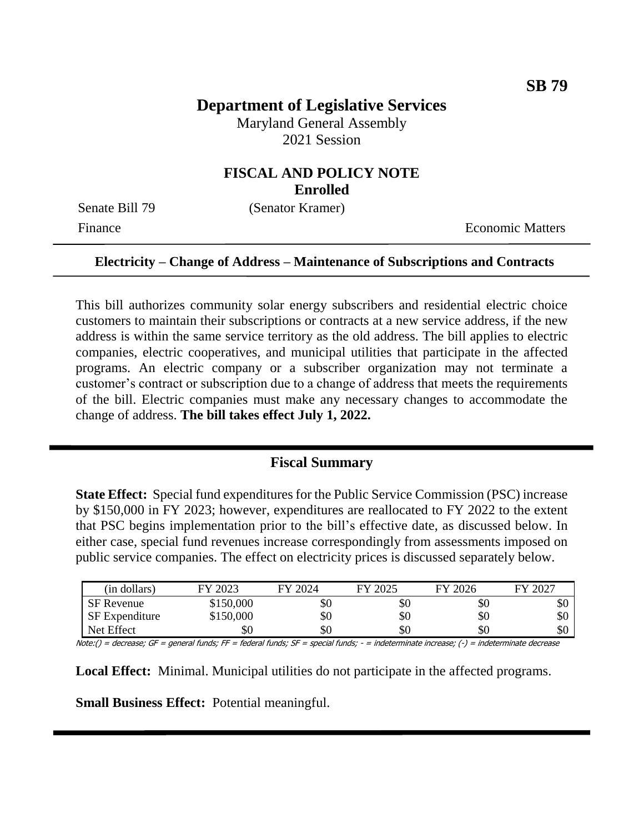# **Department of Legislative Services**

Maryland General Assembly 2021 Session

## **FISCAL AND POLICY NOTE Enrolled**

Senate Bill 79 (Senator Kramer)

Finance **Exercífical Economic Matters** 

#### **Electricity – Change of Address – Maintenance of Subscriptions and Contracts**

This bill authorizes community solar energy subscribers and residential electric choice customers to maintain their subscriptions or contracts at a new service address, if the new address is within the same service territory as the old address. The bill applies to electric companies, electric cooperatives, and municipal utilities that participate in the affected programs. An electric company or a subscriber organization may not terminate a customer's contract or subscription due to a change of address that meets the requirements of the bill. Electric companies must make any necessary changes to accommodate the change of address. **The bill takes effect July 1, 2022.**

#### **Fiscal Summary**

**State Effect:** Special fund expenditures for the Public Service Commission (PSC) increase by \$150,000 in FY 2023; however, expenditures are reallocated to FY 2022 to the extent that PSC begins implementation prior to the bill's effective date, as discussed below. In either case, special fund revenues increase correspondingly from assessments imposed on public service companies. The effect on electricity prices is discussed separately below.

| (in dollars)          | FY 2023   | FY 2024 | FY 2025 | FY 2026 | FY 2027 |
|-----------------------|-----------|---------|---------|---------|---------|
| <b>SF</b> Revenue     | \$150,000 | \$0     | УU      | УU      | ФU      |
| <b>SF</b> Expenditure | \$150,000 | \$0     | \$0     | \$0     | \$0     |
| Net Effect            | \$0       | \$0     | \$0     | \$0     | ъU      |

Note:() = decrease; GF = general funds; FF = federal funds; SF = special funds; - = indeterminate increase; (-) = indeterminate decrease

**Local Effect:** Minimal. Municipal utilities do not participate in the affected programs.

**Small Business Effect:** Potential meaningful.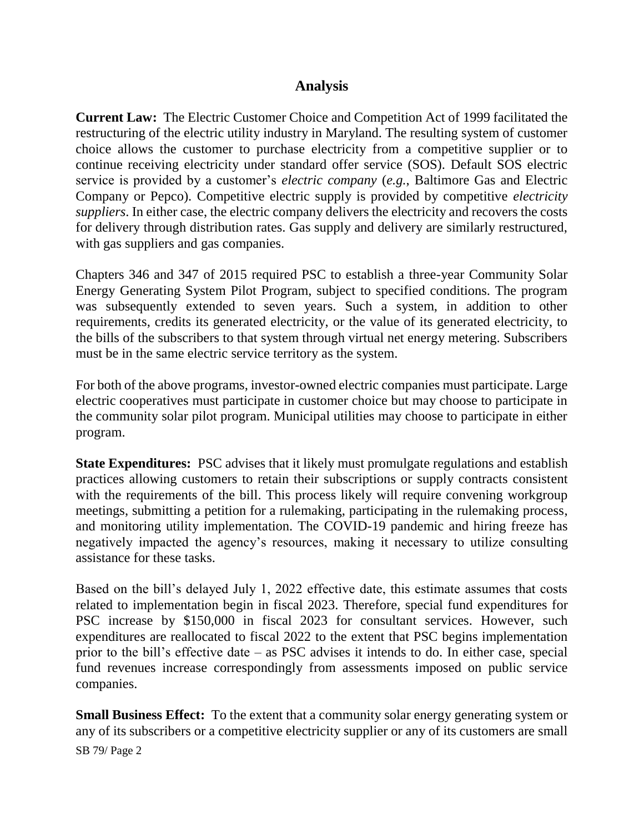## **Analysis**

**Current Law:** The Electric Customer Choice and Competition Act of 1999 facilitated the restructuring of the electric utility industry in Maryland. The resulting system of customer choice allows the customer to purchase electricity from a competitive supplier or to continue receiving electricity under standard offer service (SOS). Default SOS electric service is provided by a customer's *electric company* (*e.g.*, Baltimore Gas and Electric Company or Pepco). Competitive electric supply is provided by competitive *electricity suppliers*. In either case, the electric company delivers the electricity and recovers the costs for delivery through distribution rates. Gas supply and delivery are similarly restructured, with gas suppliers and gas companies.

Chapters 346 and 347 of 2015 required PSC to establish a three-year Community Solar Energy Generating System Pilot Program, subject to specified conditions. The program was subsequently extended to seven years. Such a system, in addition to other requirements, credits its generated electricity, or the value of its generated electricity, to the bills of the subscribers to that system through virtual net energy metering. Subscribers must be in the same electric service territory as the system.

For both of the above programs, investor-owned electric companies must participate. Large electric cooperatives must participate in customer choice but may choose to participate in the community solar pilot program. Municipal utilities may choose to participate in either program.

**State Expenditures:** PSC advises that it likely must promulgate regulations and establish practices allowing customers to retain their subscriptions or supply contracts consistent with the requirements of the bill. This process likely will require convening workgroup meetings, submitting a petition for a rulemaking, participating in the rulemaking process, and monitoring utility implementation. The COVID-19 pandemic and hiring freeze has negatively impacted the agency's resources, making it necessary to utilize consulting assistance for these tasks.

Based on the bill's delayed July 1, 2022 effective date, this estimate assumes that costs related to implementation begin in fiscal 2023. Therefore, special fund expenditures for PSC increase by \$150,000 in fiscal 2023 for consultant services. However, such expenditures are reallocated to fiscal 2022 to the extent that PSC begins implementation prior to the bill's effective date – as PSC advises it intends to do. In either case, special fund revenues increase correspondingly from assessments imposed on public service companies.

SB 79/ Page 2 **Small Business Effect:** To the extent that a community solar energy generating system or any of its subscribers or a competitive electricity supplier or any of its customers are small